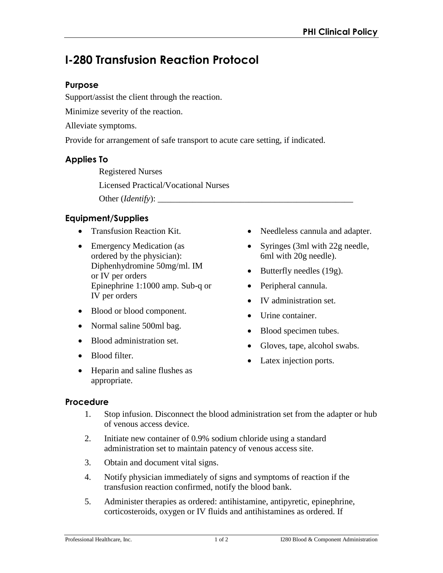# **I-280 Transfusion Reaction Protocol**

### **Purpose**

Support/assist the client through the reaction.

Minimize severity of the reaction.

Alleviate symptoms.

Provide for arrangement of safe transport to acute care setting, if indicated.

### **Applies To**

Registered Nurses Licensed Practical/Vocational Nurses Other (*Identify*):

## **Equipment/Supplies**

- Transfusion Reaction Kit.
- Emergency Medication (as ordered by the physician): Diphenhydromine 50mg/ml. IM or IV per orders Epinephrine 1:1000 amp. Sub-q or IV per orders
- Blood or blood component.
- Normal saline 500ml bag.
- Blood administration set.
- Blood filter.
- Heparin and saline flushes as appropriate.
- Needleless cannula and adapter.
- Syringes (3ml with 22g needle, 6ml with 20g needle).
- $\bullet$  Butterfly needles (19g).
- Peripheral cannula.
- IV administration set.
- Urine container.
- Blood specimen tubes.
- Gloves, tape, alcohol swabs.
- Latex injection ports.

### **Procedure**

- 1. Stop infusion. Disconnect the blood administration set from the adapter or hub of venous access device.
- 2. Initiate new container of 0.9% sodium chloride using a standard administration set to maintain patency of venous access site.
- 3. Obtain and document vital signs.
- 4. Notify physician immediately of signs and symptoms of reaction if the transfusion reaction confirmed, notify the blood bank.
- 5. Administer therapies as ordered: antihistamine, antipyretic, epinephrine, corticosteroids, oxygen or IV fluids and antihistamines as ordered. If